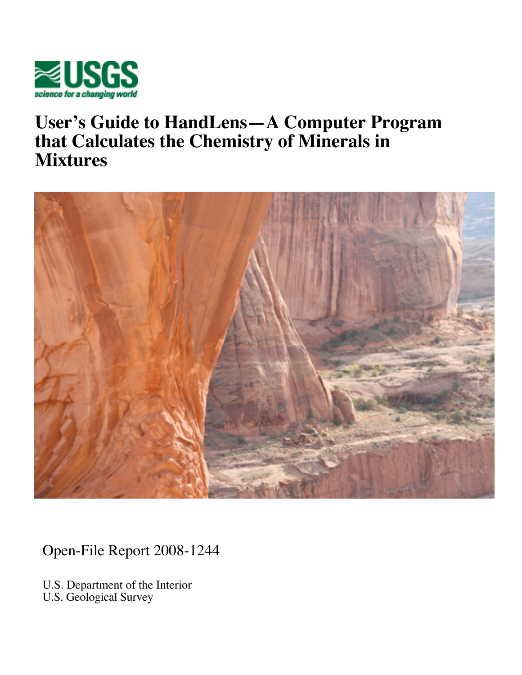

# **User's Guide to HandLens—A Computer Program that Calculates the Chemistry of Minerals in Mixtures**



Open-File Report 2008-1244

U.S. Department of the Interior U.S. Geological Survey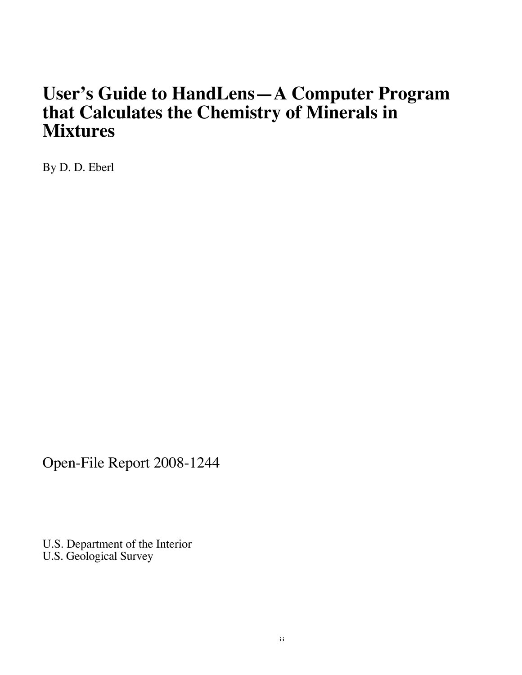# **User's Guide to HandLens—A Computer Program that Calculates the Chemistry of Minerals in Mixtures**

By D. D. Eberl

Open-File Report 2008-1244

U.S. Department of the Interior U.S. Geological Survey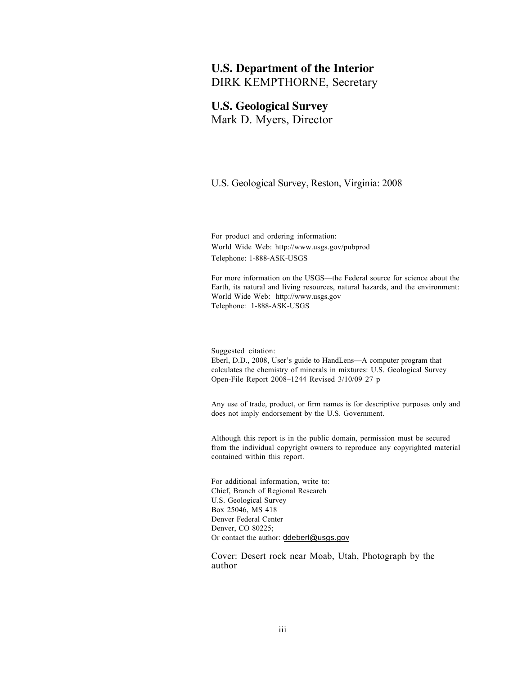## **U.S. Department of the Interior** DIRK KEMPTHORNE, Secretary

## **U.S. Geological Survey** Mark D. Myers, Director

U.S. Geological Survey, Reston, Virginia: 2008

For product and ordering information: World Wide Web: http://www.usgs.gov/pubprod Telephone: 1-888-ASK-USGS

For more information on the USGS—the Federal source for science about the Earth, its natural and living resources, natural hazards, and the environment: World Wide Web: http://www.usgs.gov Telephone: 1-888-ASK-USGS

Suggested citation: Eberl, D.D., 2008, User's guide to HandLens—A computer program that calculates the chemistry of minerals in mixtures: U.S. Geological Survey Open-File Report 2008–1244 Revised 3/10/09 27 p

Any use of trade, product, or firm names is for descriptive purposes only and does not imply endorsement by the U.S. Government.

Although this report is in the public domain, permission must be secured from the individual copyright owners to reproduce any copyrighted material contained within this report.

For additional information, write to: Chief, Branch of Regional Research U.S. Geological Survey Box 25046, MS 418 Denver Federal Center Denver, CO 80225; Or contact the author: ddeberl@usgs.gov

Cover: Desert rock near Moab, Utah, Photograph by the author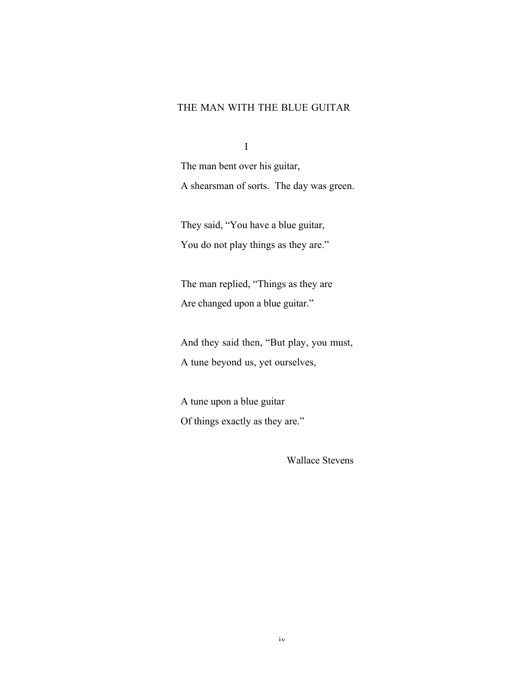## THE MAN WITH THE BLUE GUITAR

I

The man bent over his guitar, A shearsman of sorts. The day was green.

They said, "You have a blue guitar, You do not play things as they are."

The man replied, "Things as they are Are changed upon a blue guitar."

And they said then, "But play, you must, A tune beyond us, yet ourselves,

A tune upon a blue guitar Of things exactly as they are."

Wallace Stevens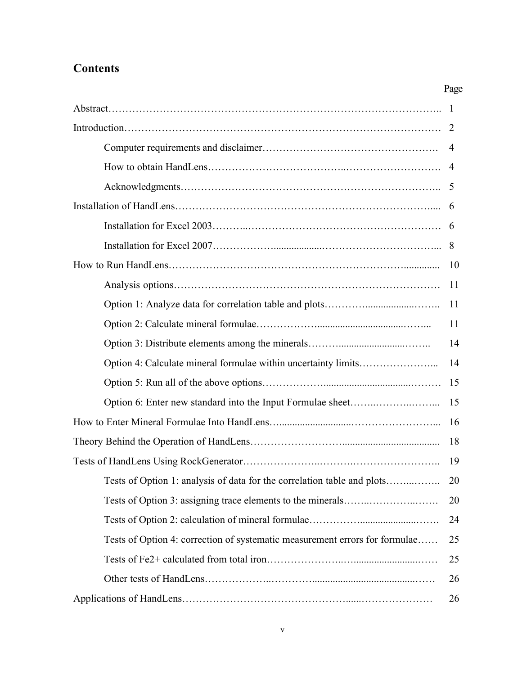## **Contents**

|                                                                             | 4  |
|-----------------------------------------------------------------------------|----|
|                                                                             |    |
|                                                                             |    |
|                                                                             |    |
|                                                                             |    |
|                                                                             |    |
|                                                                             | 10 |
|                                                                             | 11 |
|                                                                             | 11 |
|                                                                             | 11 |
|                                                                             | 14 |
|                                                                             | 14 |
|                                                                             | 15 |
|                                                                             | 15 |
|                                                                             | 16 |
|                                                                             | 18 |
|                                                                             | 19 |
| Tests of Option 1: analysis of data for the correlation table and plots     | 20 |
|                                                                             | 20 |
|                                                                             | 24 |
| Tests of Option 4: correction of systematic measurement errors for formulae | 25 |
|                                                                             | 25 |
|                                                                             | 26 |
|                                                                             | 26 |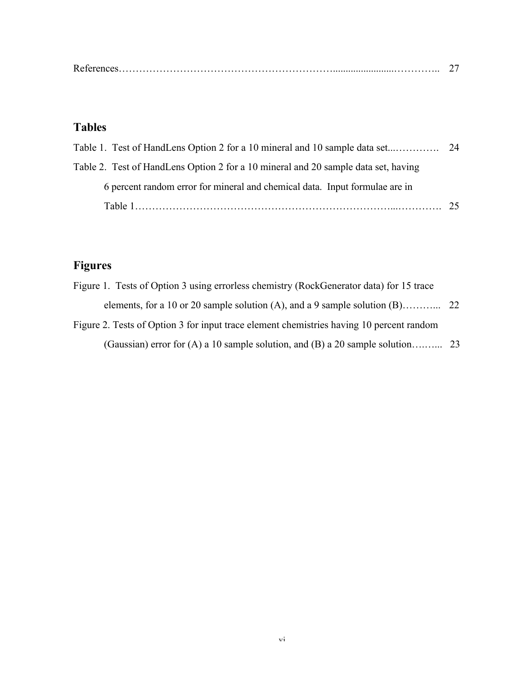|--|

## Tables

| Table 2. Test of HandLens Option 2 for a 10 mineral and 20 sample data set, having |    |
|------------------------------------------------------------------------------------|----|
| 6 percent random error for mineral and chemical data. Input formulae are in        |    |
|                                                                                    | 25 |

## Figures

| Figure 1. Tests of Option 3 using errorless chemistry (RockGenerator data) for 15 trace  |  |
|------------------------------------------------------------------------------------------|--|
|                                                                                          |  |
| Figure 2. Tests of Option 3 for input trace element chemistries having 10 percent random |  |
|                                                                                          |  |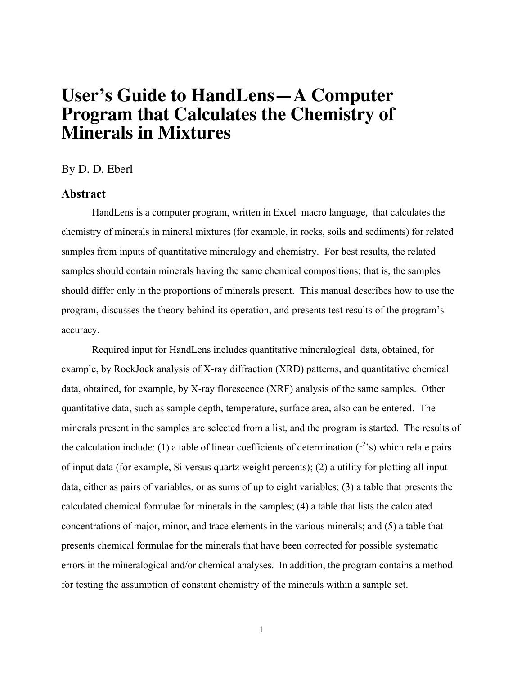# **User's Guide to HandLens—A Computer Program that Calculates the Chemistry of Minerals in Mixtures**

By D. D. Eberl

## **Abstract**

HandLens is a computer program, written in Excel macro language, that calculates the chemistry of minerals in mineral mixtures (for example, in rocks, soils and sediments) for related samples from inputs of quantitative mineralogy and chemistry. For best results, the related samples should contain minerals having the same chemical compositions; that is, the samples should differ only in the proportions of minerals present. This manual describes how to use the program, discusses the theory behind its operation, and presents test results of the program's accuracy.

Required input for HandLens includes quantitative mineralogical data, obtained, for example, by RockJock analysis of X-ray diffraction (XRD) patterns, and quantitative chemical data, obtained, for example, by X-ray florescence (XRF) analysis of the same samples. Other quantitative data, such as sample depth, temperature, surface area, also can be entered. The minerals present in the samples are selected from a list, and the program is started. The results of the calculation include: (1) a table of linear coefficients of determination  $(r^2)$ s) which relate pairs of input data (for example, Si versus quartz weight percents); (2) a utility for plotting all input data, either as pairs of variables, or as sums of up to eight variables; (3) a table that presents the calculated chemical formulae for minerals in the samples; (4) a table that lists the calculated concentrations of major, minor, and trace elements in the various minerals; and (5) a table that presents chemical formulae for the minerals that have been corrected for possible systematic errors in the mineralogical and/or chemical analyses. In addition, the program contains a method for testing the assumption of constant chemistry of the minerals within a sample set.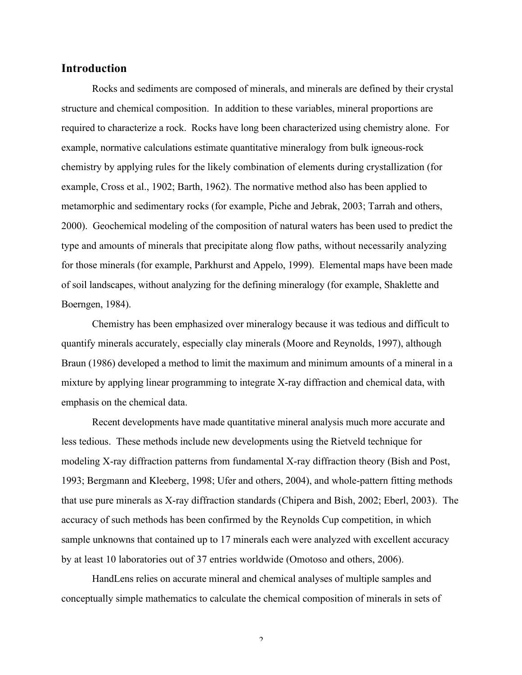## Introduction

Rocks and sediments are composed of minerals, and minerals are defined by their crystal structure and chemical composition. In addition to these variables, mineral proportions are required to characterize a rock. Rocks have long been characterized using chemistry alone. For example, normative calculations estimate quantitative mineralogy from bulk igneous-rock chemistry by applying rules for the likely combination of elements during crystallization (for example, Cross et al., 1902; Barth, 1962). The normative method also has been applied to metamorphic and sedimentary rocks (for example, Piche and Jebrak, 2003; Tarrah and others, 2000). Geochemical modeling of the composition of natural waters has been used to predict the type and amounts of minerals that precipitate along flow paths, without necessarily analyzing for those minerals (for example, Parkhurst and Appelo, 1999). Elemental maps have been made of soil landscapes, without analyzing for the defining mineralogy (for example, Shaklette and Boerngen, 1984).

Chemistry has been emphasized over mineralogy because it was tedious and difficult to quantify minerals accurately, especially clay minerals (Moore and Reynolds, 1997), although Braun (1986) developed a method to limit the maximum and minimum amounts of a mineral in a mixture by applying linear programming to integrate X-ray diffraction and chemical data, with emphasis on the chemical data.

Recent developments have made quantitative mineral analysis much more accurate and less tedious. These methods include new developments using the Rietveld technique for modeling X-ray diffraction patterns from fundamental X-ray diffraction theory (Bish and Post, 1993; Bergmann and Kleeberg, 1998; Ufer and others, 2004), and whole-pattern fitting methods that use pure minerals as X-ray diffraction standards (Chipera and Bish, 2002; Eberl, 2003). The accuracy of such methods has been confirmed by the Reynolds Cup competition, in which sample unknowns that contained up to 17 minerals each were analyzed with excellent accuracy by at least 10 laboratories out of 37 entries worldwide (Omotoso and others, 2006).

HandLens relies on accurate mineral and chemical analyses of multiple samples and conceptually simple mathematics to calculate the chemical composition of minerals in sets of

 $\overline{2}$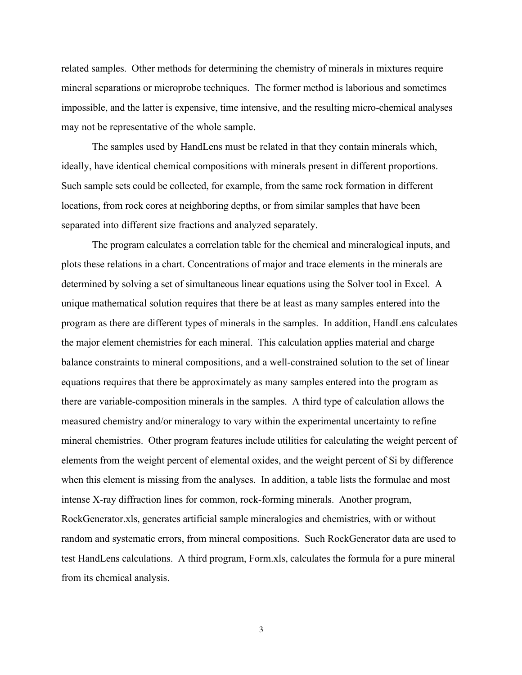related samples. Other methods for determining the chemistry of minerals in mixtures require mineral separations or microprobe techniques. The former method is laborious and sometimes impossible, and the latter is expensive, time intensive, and the resulting micro-chemical analyses may not be representative of the whole sample.

The samples used by HandLens must be related in that they contain minerals which, ideally, have identical chemical compositions with minerals present in different proportions. Such sample sets could be collected, for example, from the same rock formation in different locations, from rock cores at neighboring depths, or from similar samples that have been separated into different size fractions and analyzed separately.

The program calculates a correlation table for the chemical and mineralogical inputs, and plots these relations in a chart. Concentrations of major and trace elements in the minerals are determined by solving a set of simultaneous linear equations using the Solver tool in Excel. A unique mathematical solution requires that there be at least as many samples entered into the program as there are different types of minerals in the samples. In addition, HandLens calculates the major element chemistries for each mineral. This calculation applies material and charge balance constraints to mineral compositions, and a well-constrained solution to the set of linear equations requires that there be approximately as many samples entered into the program as there are variable-composition minerals in the samples. A third type of calculation allows the measured chemistry and/or mineralogy to vary within the experimental uncertainty to refine mineral chemistries. Other program features include utilities for calculating the weight percent of elements from the weight percent of elemental oxides, and the weight percent of Si by difference when this element is missing from the analyses. In addition, a table lists the formulae and most intense X-ray diffraction lines for common, rock-forming minerals. Another program, RockGenerator.xls, generates artificial sample mineralogies and chemistries, with or without random and systematic errors, from mineral compositions. Such RockGenerator data are used to test HandLens calculations. A third program, Form.xls, calculates the formula for a pure mineral from its chemical analysis.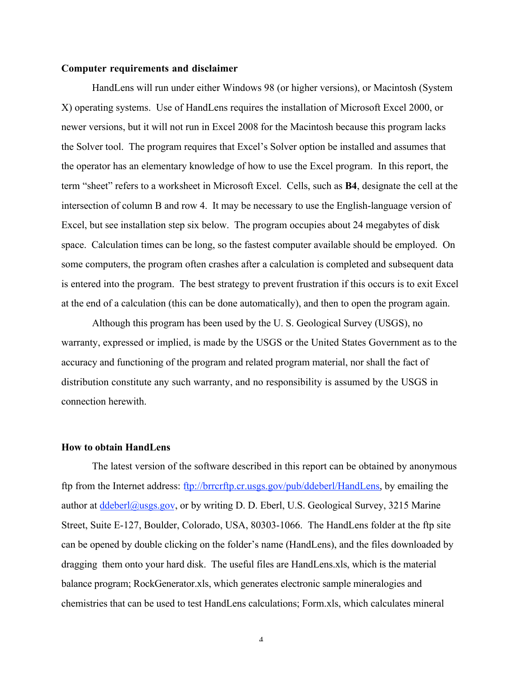#### Computer requirements and disclaimer

HandLens will run under either Windows 98 (or higher versions), or Macintosh (System X) operating systems. Use of HandLens requires the installation of Microsoft Excel 2000, or newer versions, but it will not run in Excel 2008 for the Macintosh because this program lacks the Solver tool. The program requires that Excel's Solver option be installed and assumes that the operator has an elementary knowledge of how to use the Excel program. In this report, the term "sheet" refers to a worksheet in Microsoft Excel. Cells, such as B4, designate the cell at the intersection of column B and row 4. It may be necessary to use the English-language version of Excel, but see installation step six below. The program occupies about 24 megabytes of disk space. Calculation times can be long, so the fastest computer available should be employed. On some computers, the program often crashes after a calculation is completed and subsequent data is entered into the program. The best strategy to prevent frustration if this occurs is to exit Excel at the end of a calculation (this can be done automatically), and then to open the program again.

Although this program has been used by the U. S. Geological Survey (USGS), no warranty, expressed or implied, is made by the USGS or the United States Government as to the accuracy and functioning of the program and related program material, nor shall the fact of distribution constitute any such warranty, and no responsibility is assumed by the USGS in connection herewith.

#### How to obtain HandLens

The latest version of the software described in this report can be obtained by anonymous ftp from the Internet address: ftp://brrcrftp.cr.usgs.gov/pub/ddeberl/HandLens, by emailing the author at  $\frac{d\text{deber}(\omega)_{\text{usgs.gov}}}{d\text{cos}(\omega)}$ , or by writing D. D. Eberl, U.S. Geological Survey, 3215 Marine Street, Suite E-127, Boulder, Colorado, USA, 80303-1066. The HandLens folder at the ftp site can be opened by double clicking on the folder's name (HandLens), and the files downloaded by dragging them onto your hard disk. The useful files are HandLens.xls, which is the material balance program; RockGenerator.xls, which generates electronic sample mineralogies and chemistries that can be used to test HandLens calculations; Form.xls, which calculates mineral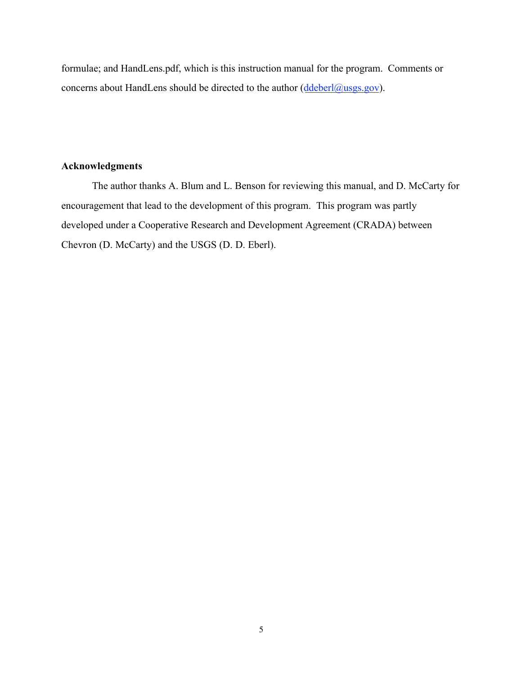formulae; and HandLens.pdf, which is this instruction manual for the program. Comments or concerns about HandLens should be directed to the author (ddeberl@usgs.gov).

## Acknowledgments

The author thanks A. Blum and L. Benson for reviewing this manual, and D. McCarty for encouragement that lead to the development of this program. This program was partly developed under a Cooperative Research and Development Agreement (CRADA) between Chevron (D. McCarty) and the USGS (D. D. Eberl).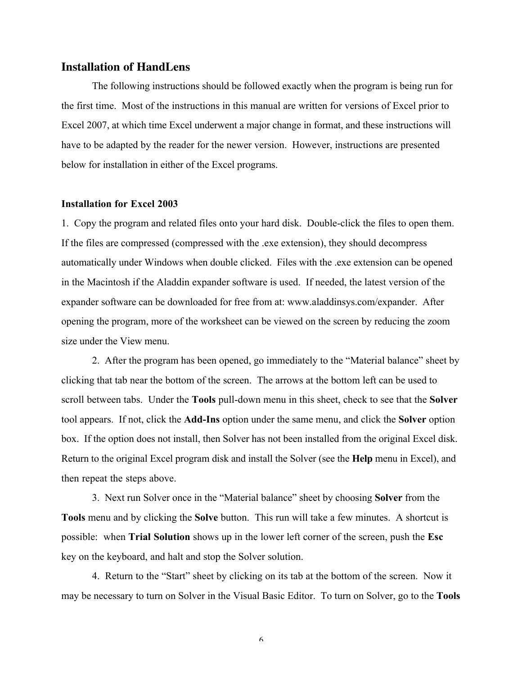## **Installation of HandLens**

The following instructions should be followed exactly when the program is being run for the first time. Most of the instructions in this manual are written for versions of Excel prior to Excel 2007, at which time Excel underwent a major change in format, and these instructions will have to be adapted by the reader for the newer version. However, instructions are presented below for installation in either of the Excel programs.

#### Installation for Excel 2003

1. Copy the program and related files onto your hard disk. Double-click the files to open them. If the files are compressed (compressed with the .exe extension), they should decompress automatically under Windows when double clicked. Files with the .exe extension can be opened in the Macintosh if the Aladdin expander software is used. If needed, the latest version of the expander software can be downloaded for free from at: www.aladdinsys.com/expander. After opening the program, more of the worksheet can be viewed on the screen by reducing the zoom size under the View menu.

2. After the program has been opened, go immediately to the "Material balance" sheet by clicking that tab near the bottom of the screen. The arrows at the bottom left can be used to scroll between tabs. Under the Tools pull-down menu in this sheet, check to see that the Solver tool appears. If not, click the Add-Ins option under the same menu, and click the Solver option box. If the option does not install, then Solver has not been installed from the original Excel disk. Return to the original Excel program disk and install the Solver (see the Help menu in Excel), and then repeat the steps above.

3. Next run Solver once in the "Material balance" sheet by choosing Solver from the Tools menu and by clicking the Solve button. This run will take a few minutes. A shortcut is possible: when Trial Solution shows up in the lower left corner of the screen, push the Esc key on the keyboard, and halt and stop the Solver solution.

4. Return to the "Start" sheet by clicking on its tab at the bottom of the screen. Now it may be necessary to turn on Solver in the Visual Basic Editor. To turn on Solver, go to the Tools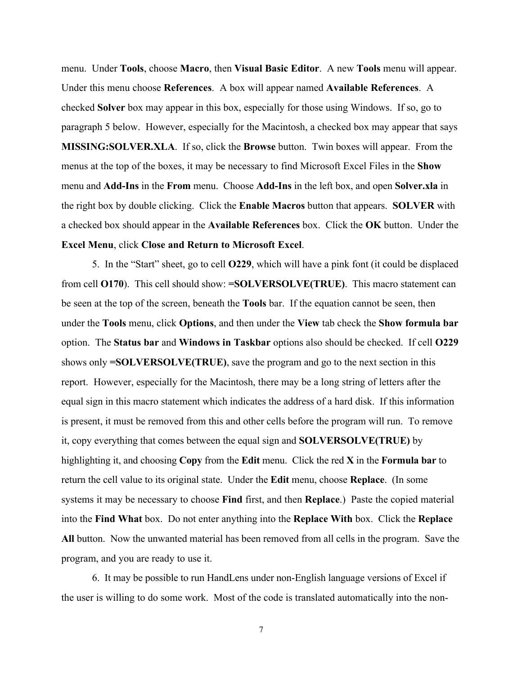menu. Under Tools, choose Macro, then Visual Basic Editor. A new Tools menu will appear. Under this menu choose References. A box will appear named Available References. A checked Solver box may appear in this box, especially for those using Windows. If so, go to paragraph 5 below. However, especially for the Macintosh, a checked box may appear that says MISSING:SOLVER.XLA. If so, click the Browse button. Twin boxes will appear. From the menus at the top of the boxes, it may be necessary to find Microsoft Excel Files in the Show menu and Add-Ins in the From menu. Choose Add-Ins in the left box, and open Solver.xla in the right box by double clicking. Click the Enable Macros button that appears. SOLVER with a checked box should appear in the Available References box. Click the OK button. Under the Excel Menu, click Close and Return to Microsoft Excel.

5. In the "Start" sheet, go to cell O229, which will have a pink font (it could be displaced from cell O170). This cell should show: =SOLVERSOLVE(TRUE). This macro statement can be seen at the top of the screen, beneath the Tools bar. If the equation cannot be seen, then under the Tools menu, click Options, and then under the View tab check the Show formula bar option. The Status bar and Windows in Taskbar options also should be checked. If cell O229 shows only =SOLVERSOLVE(TRUE), save the program and go to the next section in this report. However, especially for the Macintosh, there may be a long string of letters after the equal sign in this macro statement which indicates the address of a hard disk. If this information is present, it must be removed from this and other cells before the program will run. To remove it, copy everything that comes between the equal sign and SOLVERSOLVE(TRUE) by highlighting it, and choosing Copy from the Edit menu. Click the red  $X$  in the Formula bar to return the cell value to its original state. Under the Edit menu, choose Replace. (In some systems it may be necessary to choose **Find** first, and then **Replace**.) Paste the copied material into the Find What box. Do not enter anything into the Replace With box. Click the Replace All button. Now the unwanted material has been removed from all cells in the program. Save the program, and you are ready to use it.

6. It may be possible to run HandLens under non-English language versions of Excel if the user is willing to do some work. Most of the code is translated automatically into the non-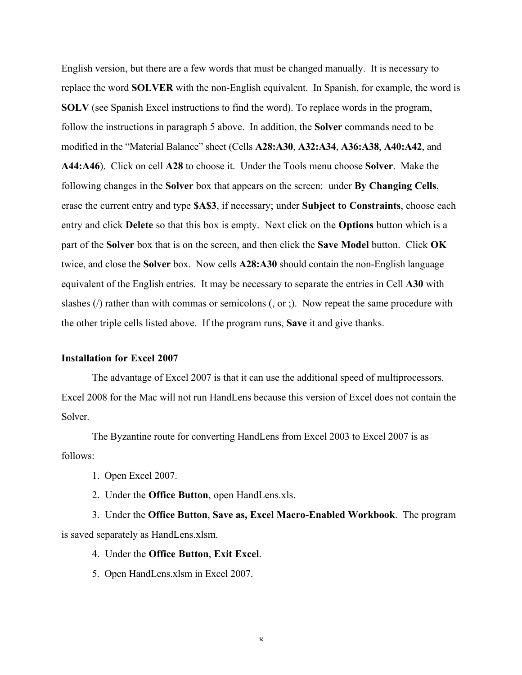English version, but there are a few words that must be changed manually. It is necessary to replace the word SOLVER with the non-English equivalent. In Spanish, for example, the word is SOLV (see Spanish Excel instructions to find the word). To replace words in the program, follow the instructions in paragraph 5 above. In addition, the Solver commands need to be modified in the "Material Balance" sheet (Cells A28:A30, A32:A34, A36:A38, A40:A42, and A44:A46). Click on cell A28 to choose it. Under the Tools menu choose Solver. Make the following changes in the Solver box that appears on the screen: under By Changing Cells, erase the current entry and type \$A\$3, if necessary; under Subject to Constraints, choose each entry and click Delete so that this box is empty. Next click on the Options button which is a part of the Solver box that is on the screen, and then click the Save Model button. Click OK twice, and close the Solver box. Now cells A28:A30 should contain the non-English language equivalent of the English entries. It may be necessary to separate the entries in Cell A30 with slashes (/) rather than with commas or semicolons (, or ;). Now repeat the same procedure with the other triple cells listed above. If the program runs, Save it and give thanks.

#### Installation for Excel 2007

The advantage of Excel 2007 is that it can use the additional speed of multiprocessors. Excel 2008 for the Mac will not run HandLens because this version of Excel does not contain the Solver.

The Byzantine route for converting HandLens from Excel 2003 to Excel 2007 is as follows:

- 1. Open Excel 2007.
- 2. Under the Office Button, open HandLens.xls.

3. Under the Office Button, Save as, Excel Macro-Enabled Workbook. The program is saved separately as HandLens.xlsm.

#### 4. Under the Office Button, Exit Excel.

5. Open HandLens.xlsm in Excel 2007.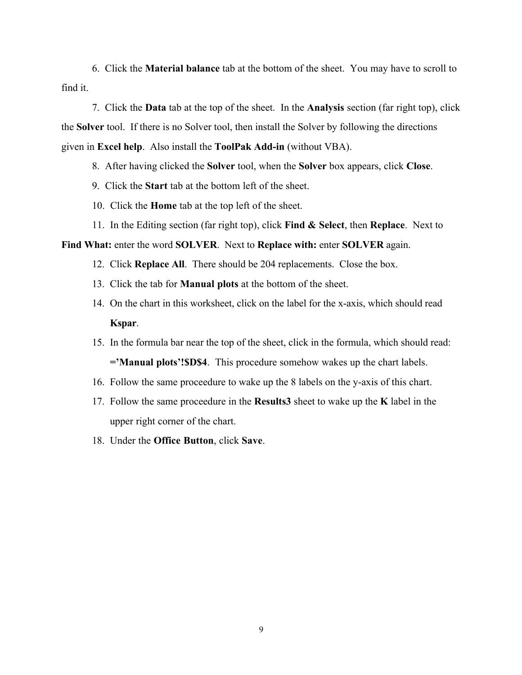6. Click the Material balance tab at the bottom of the sheet. You may have to scroll to find it.

7. Click the Data tab at the top of the sheet. In the Analysis section (far right top), click the Solver tool. If there is no Solver tool, then install the Solver by following the directions given in Excel help. Also install the ToolPak Add-in (without VBA).

8. After having clicked the Solver tool, when the Solver box appears, click Close.

- 9. Click the Start tab at the bottom left of the sheet.
- 10. Click the Home tab at the top left of the sheet.
- 11. In the Editing section (far right top), click Find & Select, then Replace. Next to

#### Find What: enter the word SOLVER. Next to Replace with: enter SOLVER again.

- 12. Click Replace All. There should be 204 replacements. Close the box.
- 13. Click the tab for Manual plots at the bottom of the sheet.
- 14. On the chart in this worksheet, click on the label for the x-axis, which should read Kspar.
- 15. In the formula bar near the top of the sheet, click in the formula, which should read: ='Manual plots'!\$D\$4. This procedure somehow wakes up the chart labels.
- 16. Follow the same proceedure to wake up the 8 labels on the y-axis of this chart.
- 17. Follow the same proceedure in the Results3 sheet to wake up the K label in the upper right corner of the chart.
- 18. Under the Office Button, click Save.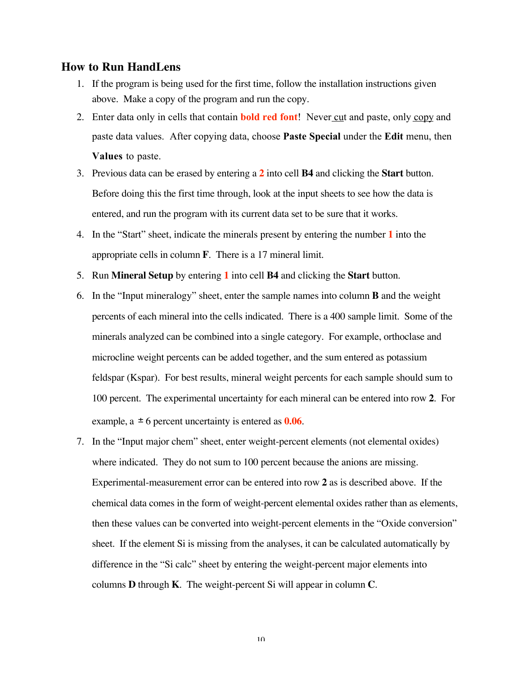## **How to Run HandLens**

- 1. If the program is being used for the first time, follow the installation instructions given above. Make a copy of the program and run the copy.
- 2. Enter data only in cells that contain **bold red font!** Never cut and paste, only copy and paste data values. After copying data, choose Paste Special under the Edit menu, then Values to paste.
- 3. Previous data can be erased by entering a **2** into cell **B4** and clicking the **Start** button. Before doing this the first time through, look at the input sheets to see how the data is entered, and run the program with its current data set to be sure that it works.
- 4. In the "Start" sheet, indicate the minerals present by entering the number **1** into the appropriate cells in column **F**. There is a 17 mineral limit.
- 5. Run **Mineral Setup** by entering **1** into cell **B4** and clicking the **Start** button.
- 6. In the "Input mineralogy" sheet, enter the sample names into column **B** and the weight percents of each mineral into the cells indicated. There is a 400 sample limit. Some of the minerals analyzed can be combined into a single category. For example, orthoclase and microcline weight percents can be added together, and the sum entered as potassium feldspar (Kspar). For best results, mineral weight percents for each sample should sum to 100 percent. The experimental uncertainty for each mineral can be entered into row **2**. For example,  $a \pm 6$  percent uncertainty is entered as  $0.06$ .
- 7. In the "Input major chem" sheet, enter weight-percent elements (not elemental oxides) where indicated. They do not sum to 100 percent because the anions are missing. Experimental-measurement error can be entered into row **2** as is described above. If the chemical data comes in the form of weight-percent elemental oxides rather than as elements, then these values can be converted into weight-percent elements in the "Oxide conversion" sheet. If the element Si is missing from the analyses, it can be calculated automatically by difference in the "Si calc" sheet by entering the weight-percent major elements into columns **D** through **K**. The weight-percent Si will appear in column **C**.

 $1<sub>0</sub>$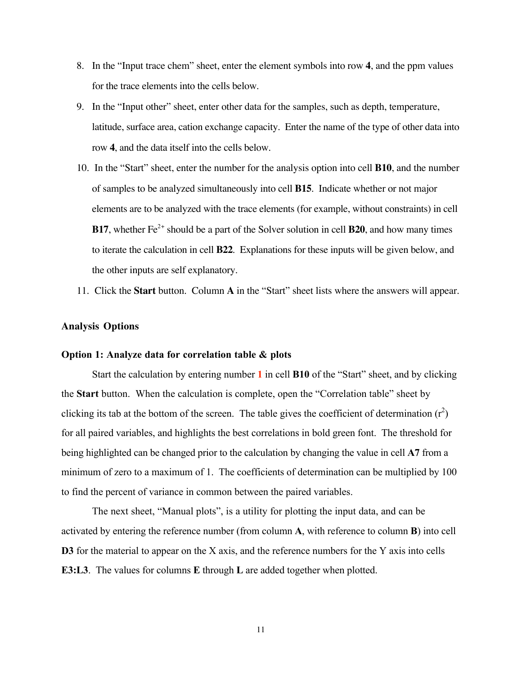- 8. In the "Input trace chem" sheet, enter the element symbols into row **4**, and the ppm values for the trace elements into the cells below.
- 9. In the "Input other" sheet, enter other data for the samples, such as depth, temperature, latitude, surface area, cation exchange capacity. Enter the name of the type of other data into row **4**, and the data itself into the cells below.
- 10. In the "Start" sheet, enter the number for the analysis option into cell **B10**, and the number of samples to be analyzed simultaneously into cell **B15**. Indicate whether or not major elements are to be analyzed with the trace elements (for example, without constraints) in cell **B17**, whether  $Fe^{2+}$  should be a part of the Solver solution in cell **B20**, and how many times to iterate the calculation in cell **B22**. Explanations for these inputs will be given below, and the other inputs are self explanatory.
- 11. Click the **Start** button. Column **A** in the "Start" sheet lists where the answers will appear.

#### **Analysis Options**

#### Option 1: Analyze data for correlation table & plots

Start the calculation by entering number 1 in cell **B10** of the "Start" sheet, and by clicking the Start button. When the calculation is complete, open the "Correlation table" sheet by clicking its tab at the bottom of the screen. The table gives the coefficient of determination  $(r^2)$ for all paired variables, and highlights the best correlations in bold green font. The threshold for being highlighted can be changed prior to the calculation by changing the value in cell A7 from a minimum of zero to a maximum of 1. The coefficients of determination can be multiplied by 100 to find the percent of variance in common between the paired variables.

The next sheet, "Manual plots", is a utility for plotting the input data, and can be activated by entering the reference number (from column A, with reference to column B) into cell D3 for the material to appear on the X axis, and the reference numbers for the Y axis into cells E3:L3. The values for columns E through L are added together when plotted.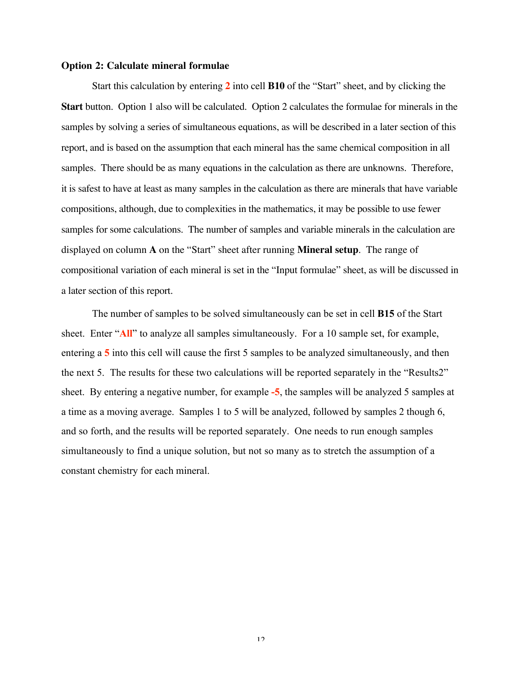#### **Option 2: Calculate mineral formulae**

Start this calculation by entering **2** into cell **B10** of the "Start" sheet, and by clicking the **Start** button. Option 1 also will be calculated. Option 2 calculates the formulae for minerals in the samples by solving a series of simultaneous equations, as will be described in a later section of this report, and is based on the assumption that each mineral has the same chemical composition in all samples. There should be as many equations in the calculation as there are unknowns. Therefore, it is safest to have at least as many samples in the calculation as there are minerals that have variable compositions, although, due to complexities in the mathematics, it may be possible to use fewer samples for some calculations. The number of samples and variable minerals in the calculation are displayed on column **A** on the "Start" sheet after running **Mineral setup**. The range of compositional variation of each mineral is set in the "Input formulae" sheet, as will be discussed in a later section of this report.

The number of samples to be solved simultaneously can be set in cell B15 of the Start sheet. Enter "All" to analyze all samples simultaneously. For a 10 sample set, for example, entering a 5 into this cell will cause the first 5 samples to be analyzed simultaneously, and then the next 5. The results for these two calculations will be reported separately in the "Results2" sheet. By entering a negative number, for example -5, the samples will be analyzed 5 samples at a time as a moving average. Samples 1 to 5 will be analyzed, followed by samples 2 though 6, and so forth, and the results will be reported separately. One needs to run enough samples simultaneously to find a unique solution, but not so many as to stretch the assumption of a constant chemistry for each mineral.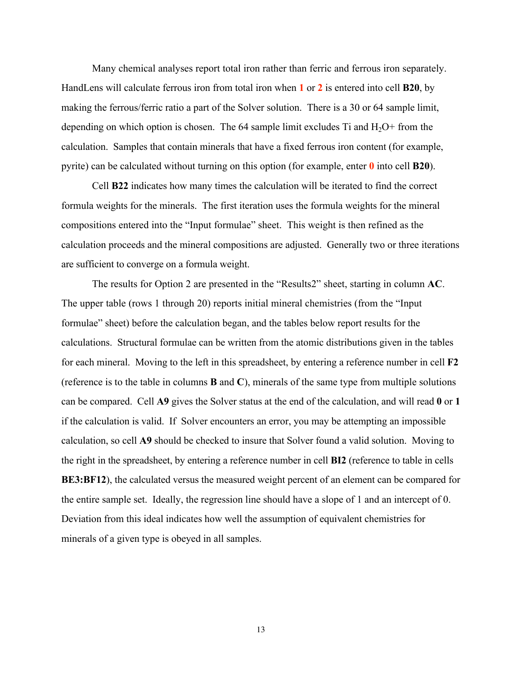Many chemical analyses report total iron rather than ferric and ferrous iron separately. HandLens will calculate ferrous iron from total iron when 1 or 2 is entered into cell **B20**, by making the ferrous/ferric ratio a part of the Solver solution. There is a 30 or 64 sample limit, depending on which option is chosen. The 64 sample limit excludes Ti and  $H_2O+$  from the calculation. Samples that contain minerals that have a fixed ferrous iron content (for example, pyrite) can be calculated without turning on this option (for example, enter  $\theta$  into cell **B20**).

Cell B22 indicates how many times the calculation will be iterated to find the correct formula weights for the minerals. The first iteration uses the formula weights for the mineral compositions entered into the "Input formulae" sheet. This weight is then refined as the calculation proceeds and the mineral compositions are adjusted. Generally two or three iterations are sufficient to converge on a formula weight.

The results for Option 2 are presented in the "Results2" sheet, starting in column AC. The upper table (rows 1 through 20) reports initial mineral chemistries (from the "Input formulae" sheet) before the calculation began, and the tables below report results for the calculations. Structural formulae can be written from the atomic distributions given in the tables for each mineral. Moving to the left in this spreadsheet, by entering a reference number in cell F2 (reference is to the table in columns B and C), minerals of the same type from multiple solutions can be compared. Cell A9 gives the Solver status at the end of the calculation, and will read 0 or 1 if the calculation is valid. If Solver encounters an error, you may be attempting an impossible calculation, so cell A9 should be checked to insure that Solver found a valid solution. Moving to the right in the spreadsheet, by entering a reference number in cell BI2 (reference to table in cells BE3:BF12), the calculated versus the measured weight percent of an element can be compared for the entire sample set. Ideally, the regression line should have a slope of 1 and an intercept of 0. Deviation from this ideal indicates how well the assumption of equivalent chemistries for minerals of a given type is obeyed in all samples.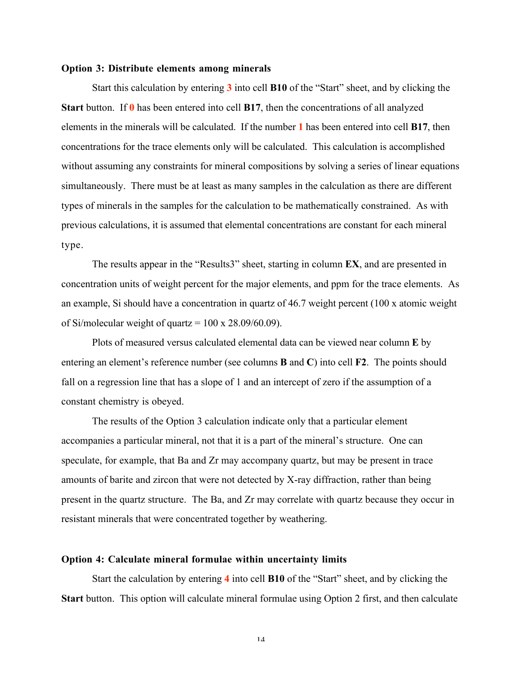#### Option 3: Distribute elements among minerals

Start this calculation by entering 3 into cell **B10** of the "Start" sheet, and by clicking the **Start** button. If  $\theta$  has been entered into cell **B17**, then the concentrations of all analyzed elements in the minerals will be calculated. If the number 1 has been entered into cell B17, then concentrations for the trace elements only will be calculated. This calculation is accomplished without assuming any constraints for mineral compositions by solving a series of linear equations simultaneously. There must be at least as many samples in the calculation as there are different types of minerals in the samples for the calculation to be mathematically constrained. As with previous calculations, it is assumed that elemental concentrations are constant for each mineral type.

The results appear in the "Results3" sheet, starting in column EX, and are presented in concentration units of weight percent for the major elements, and ppm for the trace elements. As an example, Si should have a concentration in quartz of 46.7 weight percent (100 x atomic weight of Si/molecular weight of quartz =  $100 \times 28.09/60.09$ ).

Plots of measured versus calculated elemental data can be viewed near column E by entering an element's reference number (see columns **B** and **C**) into cell **F2**. The points should fall on a regression line that has a slope of 1 and an intercept of zero if the assumption of a constant chemistry is obeyed.

The results of the Option 3 calculation indicate only that a particular element accompanies a particular mineral, not that it is a part of the mineral's structure. One can speculate, for example, that Ba and Zr may accompany quartz, but may be present in trace amounts of barite and zircon that were not detected by X-ray diffraction, rather than being present in the quartz structure. The Ba, and Zr may correlate with quartz because they occur in resistant minerals that were concentrated together by weathering.

#### Option 4: Calculate mineral formulae within uncertainty limits

Start the calculation by entering 4 into cell B10 of the "Start" sheet, and by clicking the Start button. This option will calculate mineral formulae using Option 2 first, and then calculate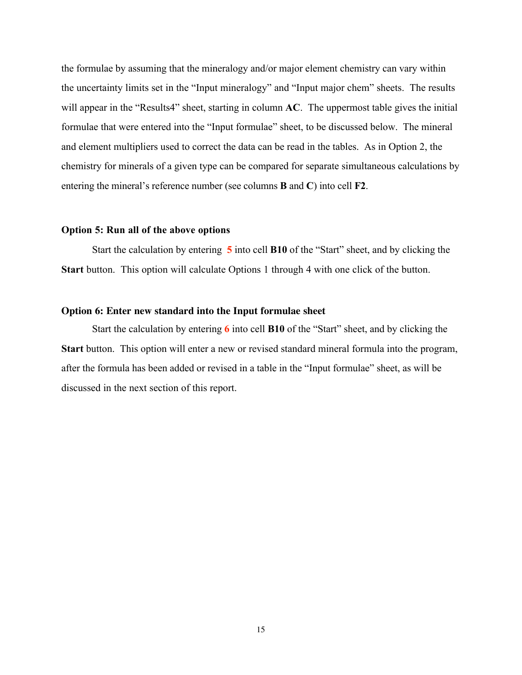the formulae by assuming that the mineralogy and/or major element chemistry can vary within the uncertainty limits set in the "Input mineralogy" and "Input major chem" sheets. The results will appear in the "Results4" sheet, starting in column AC. The uppermost table gives the initial formulae that were entered into the "Input formulae" sheet, to be discussed below. The mineral and element multipliers used to correct the data can be read in the tables. As in Option 2, the chemistry for minerals of a given type can be compared for separate simultaneous calculations by entering the mineral's reference number (see columns B and C) into cell F2.

#### Option 5: Run all of the above options

Start the calculation by entering 5 into cell B10 of the "Start" sheet, and by clicking the Start button. This option will calculate Options 1 through 4 with one click of the button.

## **Option 6: Enter new standard into the Input formulae sheet**

Start the calculation by entering 6 into cell **B10** of the "Start" sheet, and by clicking the Start button. This option will enter a new or revised standard mineral formula into the program, after the formula has been added or revised in a table in the "Input formulae" sheet, as will be discussed in the next section of this report.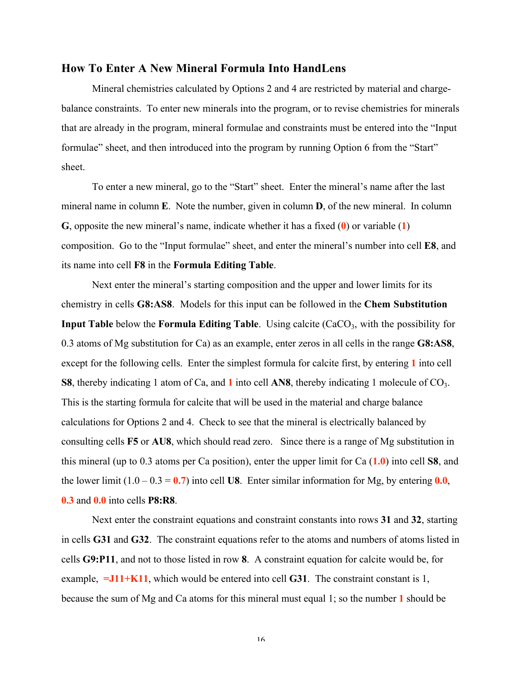#### How To Enter A New Mineral Formula Into HandLens

Mineral chemistries calculated by Options 2 and 4 are restricted by material and chargebalance constraints. To enter new minerals into the program, or to revise chemistries for minerals that are already in the program, mineral formulae and constraints must be entered into the "Input formulae" sheet, and then introduced into the program by running Option 6 from the "Start" sheet.

To enter a new mineral, go to the "Start" sheet. Enter the mineral's name after the last mineral name in column E. Note the number, given in column D, of the new mineral. In column G, opposite the new mineral's name, indicate whether it has a fixed  $(0)$  or variable  $(1)$ composition. Go to the "Input formulae" sheet, and enter the mineral's number into cell E8, and its name into cell F8 in the Formula Editing Table.

Next enter the mineral's starting composition and the upper and lower limits for its chemistry in cells G8:AS8. Models for this input can be followed in the Chem Substitution Input Table below the Formula Editing Table. Using calcite  $(CaCO<sub>3</sub>)$ , with the possibility for 0.3 atoms of Mg substitution for Ca) as an example, enter zeros in all cells in the range G8:AS8, except for the following cells. Enter the simplest formula for calcite first, by entering 1 into cell S8, thereby indicating 1 atom of Ca, and 1 into cell AN8, thereby indicating 1 molecule of CO<sub>3</sub>. This is the starting formula for calcite that will be used in the material and charge balance calculations for Options 2 and 4. Check to see that the mineral is electrically balanced by consulting cells F5 or AU8, which should read zero. Since there is a range of Mg substitution in this mineral (up to 0.3 atoms per Ca position), enter the upper limit for Ca  $(1.0)$  into cell S8, and the lower limit  $(1.0 - 0.3 = 0.7)$  into cell U8. Enter similar information for Mg, by entering 0.0, 0.3 and 0.0 into cells P8:R8.

Next enter the constraint equations and constraint constants into rows 31 and 32, starting in cells G31 and G32. The constraint equations refer to the atoms and numbers of atoms listed in cells G9:P11, and not to those listed in row 8. A constraint equation for calcite would be, for example,  $=J11+K11$ , which would be entered into cell **G31**. The constraint constant is 1, because the sum of Mg and Ca atoms for this mineral must equal 1; so the number 1 should be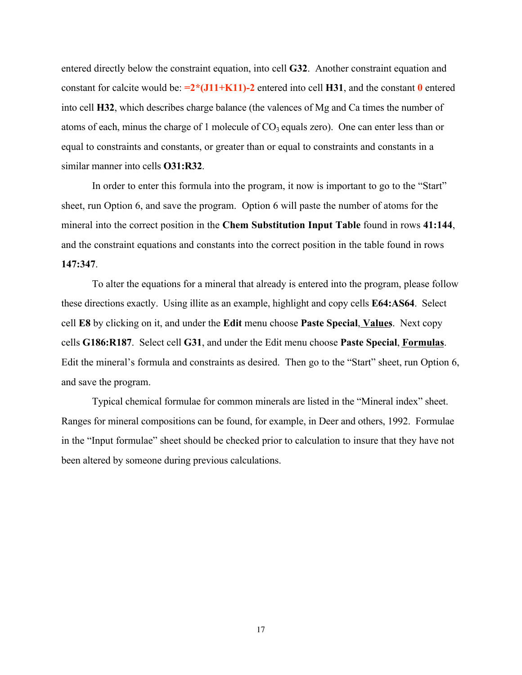entered directly below the constraint equation, into cell G32. Another constraint equation and constant for calcite would be:  $=2*(J11+K11)-2$  entered into cell H31, and the constant 0 entered into cell H32, which describes charge balance (the valences of Mg and Ca times the number of atoms of each, minus the charge of 1 molecule of  $CO<sub>3</sub>$  equals zero). One can enter less than or equal to constraints and constants, or greater than or equal to constraints and constants in a similar manner into cells O31:R32.

In order to enter this formula into the program, it now is important to go to the "Start" sheet, run Option 6, and save the program. Option 6 will paste the number of atoms for the mineral into the correct position in the Chem Substitution Input Table found in rows 41:144, and the constraint equations and constants into the correct position in the table found in rows 147:347.

To alter the equations for a mineral that already is entered into the program, please follow these directions exactly. Using illite as an example, highlight and copy cells E64:AS64. Select cell E8 by clicking on it, and under the Edit menu choose Paste Special, Values. Next copy cells G186:R187. Select cell G31, and under the Edit menu choose Paste Special, Formulas. Edit the mineral's formula and constraints as desired. Then go to the "Start" sheet, run Option 6, and save the program.

Typical chemical formulae for common minerals are listed in the "Mineral index" sheet. Ranges for mineral compositions can be found, for example, in Deer and others, 1992. Formulae in the "Input formulae" sheet should be checked prior to calculation to insure that they have not been altered by someone during previous calculations.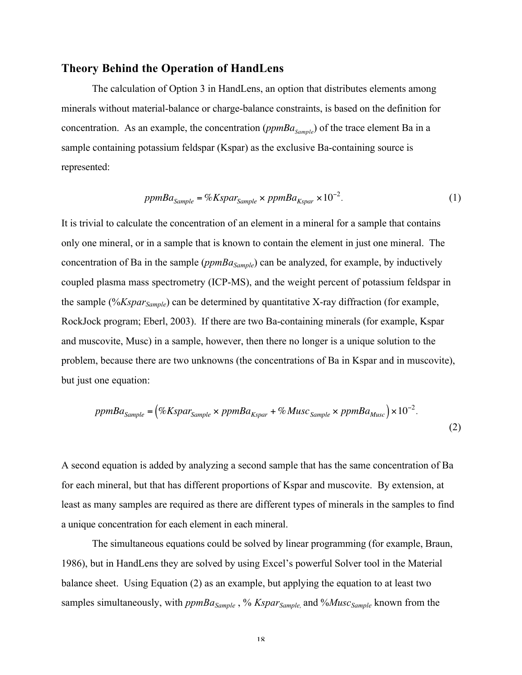#### Theory Behind the Operation of HandLens

The calculation of Option 3 in HandLens, an option that distributes elements among minerals without material-balance or charge-balance constraints, is based on the definition for concentration. As an example, the concentration ( $ppmBa_{Sample}$ ) of the trace element Ba in a sample containing potassium feldspar (Kspar) as the exclusive Ba-containing source is represented:

$$
ppmBa_{Sample} = \%Kspar_{Sample} \times ppmBa_{Kspar} \times 10^{-2}.
$$
\n(1)

only one mineral, or in a sample that is known to contain the element in just one mineral. The It is trivial to calculate the concentration of an element in a mineral for a sample that contains concentration of Ba in the sample ( $ppmBa_{Sample}$ ) can be analyzed, for example, by inductively coupled plasma mass spectrometry (ICP-MS), and the weight percent of potassium feldspar in the sample (%*Kspar<sub>Sample</sub>*) can be determined by quantitative X-ray diffraction (for example, RockJock program; Eberl, 2003). If there are two Ba-containing minerals (for example, Kspar and muscovite, Musc) in a sample, however, then there no longer is a unique solution to the problem, because there are two unknowns (the concentrations of Ba in Kspar and in muscovite), but just one equation:

$$
ppmBa_{Sample} = (\%Kspar_{Sample} \times ppmBa_{Kspar} + \%Musc_{Sample} \times ppmBa_{Musc}) \times 10^{-2}.
$$
\n
$$
(2)
$$

A second equation is added by analyzing a second sample that has the same concentration of Ba for each mineral, but that has different proportions of Kspar and muscovite. By extension, at least as many samples are required as there are different types of minerals in the samples to find a unique concentration for each element in each mineral.

The simultaneous equations could be solved by linear programming (for example, Braun, 1986), but in HandLens they are solved by using Excel's powerful Solver tool in the Material balance sheet. Using Equation (2) as an example, but applying the equation to at least two samples simultaneously, with  $ppmBa_{Sample}$ , % *Kspar<sub>Sample*, and %*Musc<sub>Sample</sub>* known from the</sub>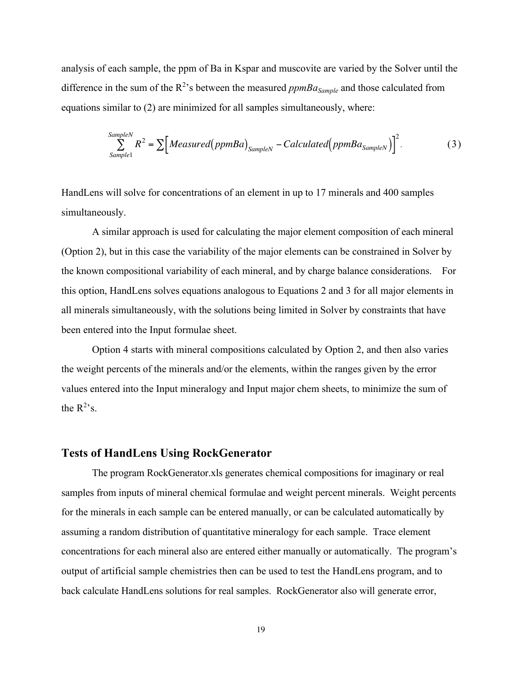analysis of each sample, the ppm of Ba in Kspar and muscovite are varied by the Solver until the difference in the sum of the  $R^2$ 's between the measured  $ppmBa_{Sample}$  and those calculated from equations similar to (2) are minimized for all samples simultaneously, where:

$$
\sum_{SampleN}^{SampleN} R^2 = \sum \Big[ Measured(ppmBa)_{SampleN} - Calculated(ppmBa_{SampleN}) \Big]^2.
$$
 (3)

HandLens will solve for concentrations of an element in up to 17 minerals and 400 samples simultaneously.

A similar approach is used for calculating the major element composition of each mineral (Option 2), but in this case the variability of the major elements can be constrained in Solver by the known compositional variability of each mineral, and by charge balance considerations. For this option, HandLens solves equations analogous to Equations 2 and 3 for all major elements in all minerals simultaneously, with the solutions being limited in Solver by constraints that have been entered into the Input formulae sheet.

Option 4 starts with mineral compositions calculated by Option 2, and then also varies the weight percents of the minerals and/or the elements, within the ranges given by the error values entered into the Input mineralogy and Input major chem sheets, to minimize the sum of the  $R^2$ 's.

### Tests of HandLens Using RockGenerator

The program RockGenerator.xls generates chemical compositions for imaginary or real samples from inputs of mineral chemical formulae and weight percent minerals. Weight percents for the minerals in each sample can be entered manually, or can be calculated automatically by assuming a random distribution of quantitative mineralogy for each sample. Trace element concentrations for each mineral also are entered either manually or automatically. The program's output of artificial sample chemistries then can be used to test the HandLens program, and to back calculate HandLens solutions for real samples. RockGenerator also will generate error,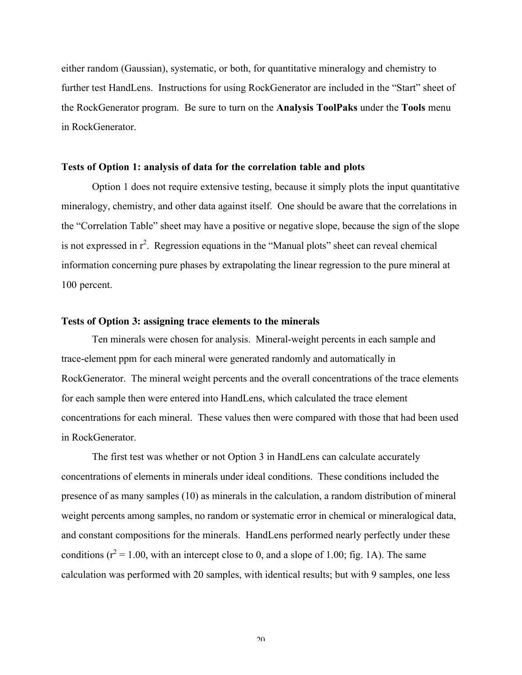either random (Gaussian), systematic, or both, for quantitative mineralogy and chemistry to further test HandLens. Instructions for using RockGenerator are included in the "Start" sheet of the RockGenerator program. Be sure to turn on the Analysis ToolPaks under the Tools menu in RockGenerator.

#### Tests of Option 1: analysis of data for the correlation table and plots

Option 1 does not require extensive testing, because it simply plots the input quantitative mineralogy, chemistry, and other data against itself. One should be aware that the correlations in the "Correlation Table" sheet may have a positive or negative slope, because the sign of the slope is not expressed in  $r^2$ . Regression equations in the "Manual plots" sheet can reveal chemical information concerning pure phases by extrapolating the linear regression to the pure mineral at 100 percent.

#### **Tests of Option 3: assigning trace elements to the minerals**

Ten minerals were chosen for analysis. Mineral-weight percents in each sample and trace-element ppm for each mineral were generated randomly and automatically in RockGenerator. The mineral weight percents and the overall concentrations of the trace elements for each sample then were entered into HandLens, which calculated the trace element concentrations for each mineral. These values then were compared with those that had been used in RockGenerator.

The first test was whether or not Option 3 in HandLens can calculate accurately concentrations of elements in minerals under ideal conditions. These conditions included the presence of as many samples (10) as minerals in the calculation, a random distribution of mineral weight percents among samples, no random or systematic error in chemical or mineralogical data, and constant compositions for the minerals. HandLens performed nearly perfectly under these conditions ( $r^2$  = 1.00, with an intercept close to 0, and a slope of 1.00; fig. 1A). The same calculation was performed with 20 samples, with identical results; but with 9 samples, one less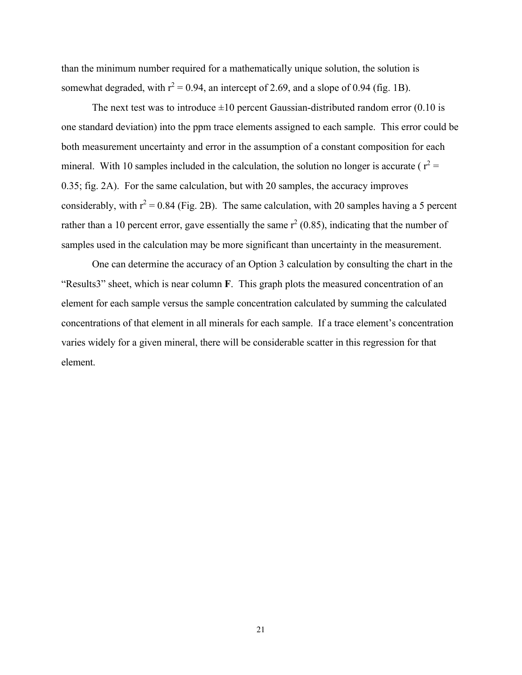than the minimum number required for a mathematically unique solution, the solution is somewhat degraded, with  $r^2 = 0.94$ , an intercept of 2.69, and a slope of 0.94 (fig. 1B).

The next test was to introduce  $\pm 10$  percent Gaussian-distributed random error (0.10 is one standard deviation) into the ppm trace elements assigned to each sample. This error could be both measurement uncertainty and error in the assumption of a constant composition for each mineral. With 10 samples included in the calculation, the solution no longer is accurate ( $r^2$  = 0.35; fig. 2A). For the same calculation, but with 20 samples, the accuracy improves considerably, with  $r^2 = 0.84$  (Fig. 2B). The same calculation, with 20 samples having a 5 percent rather than a 10 percent error, gave essentially the same  $r^2$  (0.85), indicating that the number of samples used in the calculation may be more significant than uncertainty in the measurement.

One can determine the accuracy of an Option 3 calculation by consulting the chart in the "Results3" sheet, which is near column F. This graph plots the measured concentration of an element for each sample versus the sample concentration calculated by summing the calculated concentrations of that element in all minerals for each sample. If a trace element's concentration varies widely for a given mineral, there will be considerable scatter in this regression for that element.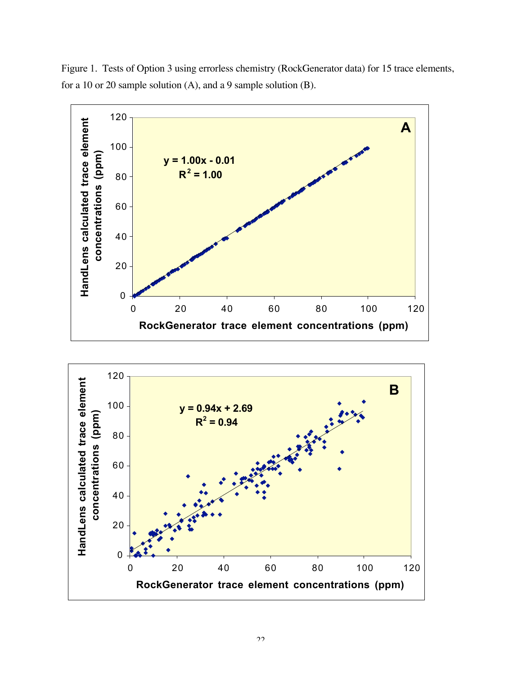

Figure 1. Tests of Option 3 using errorless chemistry (RockGenerator data) for 15 trace elements, for a 10 or 20 sample solution (A), and a 9 sample solution (B).

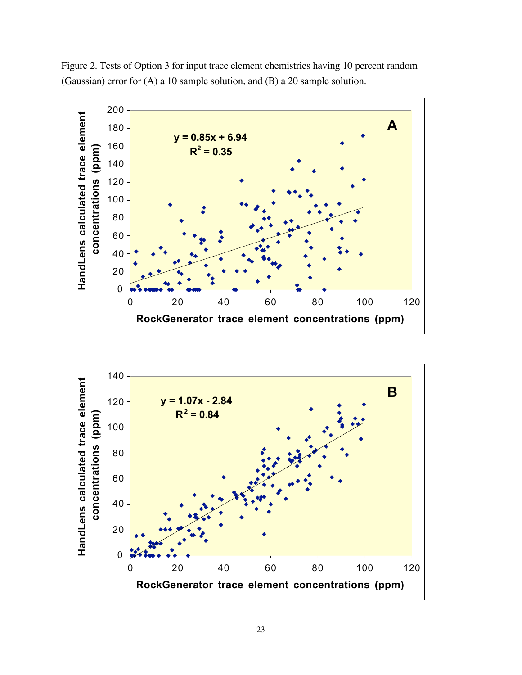

Figure 2. Tests of Option 3 for input trace element chemistries having 10 percent random (Gaussian) error for (A) a 10 sample solution, and (B) a 20 sample solution.

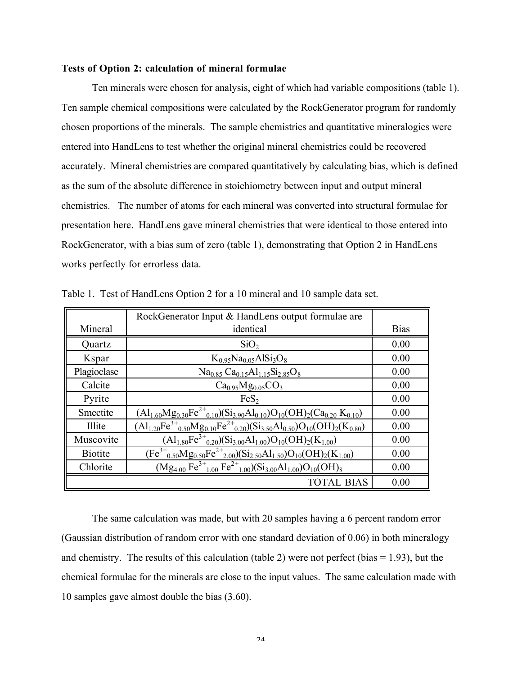#### Tests of Option 2: calculation of mineral formulae

Ten minerals were chosen for analysis, eight of which had variable compositions (table 1). Ten sample chemical compositions were calculated by the RockGenerator program for randomly chosen proportions of the minerals. The sample chemistries and quantitative mineralogies were entered into HandLens to test whether the original mineral chemistries could be recovered accurately. Mineral chemistries are compared quantitatively by calculating bias, which is defined as the sum of the absolute difference in stoichiometry between input and output mineral chemistries. The number of atoms for each mineral was converted into structural formulae for presentation here. HandLens gave mineral chemistries that were identical to those entered into RockGenerator, with a bias sum of zero (table 1), demonstrating that Option 2 in HandLens works perfectly for errorless data.

|                | RockGenerator Input & HandLens output formulae are                                                 |             |
|----------------|----------------------------------------------------------------------------------------------------|-------------|
| Mineral        | identical                                                                                          | <b>Bias</b> |
| Quartz         | SiO <sub>2</sub>                                                                                   | 0.00        |
| Kspar          | $K_0$ <sub>95</sub> Na <sub>0.05</sub> AlSi <sub>3</sub> O <sub>8</sub>                            | 0.00        |
| Plagioclase    | $Na0.85 Ca0.15 Al1.15 Si2.85O8$                                                                    | 0.00        |
| Calcite        | $Ca0.95Mg0.05CO3$                                                                                  | 0.00        |
| Pyrite         | FeS <sub>2</sub>                                                                                   | 0.00        |
| Smectite       | $(Al_{1.60}Mg_{0.30}Fe^{2+}_{0.10})(Si_{3.90}Al_{0.10})O_{10}(OH)_{2}(Ca_{0.20} K_{0.10})$         | 0.00        |
| Illite         | $(A1_{1.20}Fe^{3+}{}_{0.50}Mg_{0.10}Fe^{2+}{}_{0.20})(Si_{3.50}Al_{0.50})O_{10}(OH)_{2}(K_{0.80})$ | 0.00        |
| Muscovite      | $(Al_{1.80}Fe^{3+}_{0.20})(Si_{3.00}Al_{1.00})O_{10}(OH)_{2}(K_{1.00})$                            | 0.00        |
| <b>Biotite</b> | $(Fe^{3+}{}_{0.50}Mg_{0.50}Fe^{2+}{}_{2.00})(Si_{2.50}Al_{1.50})O_{10}(OH)_{2}(K_{1.00})$          | 0.00        |
| Chlorite       | $(Mg_{4.00} Fe^{3+}_{1.00} Fe^{2+}_{1.00}) (Si_{3.00} Al_{1.00}) O_{10} (OH)_8$                    | 0.00        |
|                | <b>TOTAL BIAS</b>                                                                                  | 0.00        |

Table 1. Test of HandLens Option 2 for a 10 mineral and 10 sample data set.

The same calculation was made, but with 20 samples having a 6 percent random error (Gaussian distribution of random error with one standard deviation of 0.06) in both mineralogy and chemistry. The results of this calculation (table 2) were not perfect (bias  $= 1.93$ ), but the chemical formulae for the minerals are close to the input values. The same calculation made with 10 samples gave almost double the bias (3.60).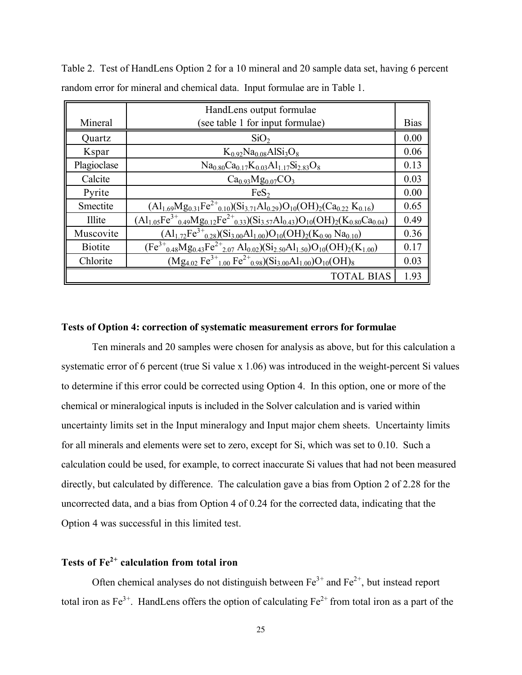|                | HandLens output formulae                                                                                                                     |             |
|----------------|----------------------------------------------------------------------------------------------------------------------------------------------|-------------|
| Mineral        | (see table 1 for input formulae)                                                                                                             | <b>Bias</b> |
| Quartz         | SiO <sub>2</sub>                                                                                                                             | 0.00        |
| Kspar          | $K_0$ 92Na <sub>0.08</sub> AlSi <sub>3</sub> O <sub>8</sub>                                                                                  | 0.06        |
| Plagioclase    | $Na_{0.80}Ca_{0.17}K_{0.03}Al_{1.17}Si_{2.83}O_8$                                                                                            | 0.13        |
| Calcite        | $Ca0.93Mg0.07CO3$                                                                                                                            | 0.03        |
| Pyrite         | FeS <sub>2</sub>                                                                                                                             | 0.00        |
| Smectite       | $(A1_{1.69}Mg_{0.31}Fe^{2+}_{0.10})(Si_{3.71}Al_{0.29})O_{10}(OH)_{2}(Ca_{0.22} K_{0.16})$                                                   | 0.65        |
| Illite         | $(A1_{1.05}Fe^{3+}{}_{0.49}Mg_{0.12}Fe^{2+}{}_{0.33})(Si_{3.57}Al_{0.43})O_{10}(OH)_{2}(\overline{K_{0.80}Ca_{0.04}})$                       | 0.49        |
| Muscovite      | $(A1_{1.72}Fe^{3+}_{0.28})(Si_{3.00}Al_{1.00})O_{10}(OH)_{2}(K_{0.90}Na_{0.10})$                                                             | 0.36        |
| <b>Biotite</b> | $(Fe^{3+}_{0.48}Mg_{0.43}Fe^{2+}_{2.07}Al_{0.02})(Si_{2.50}Al_{1.50})O_{10}(OH)_{2}(K_{1.00})$                                               | 0.17        |
| Chlorite       | $\overline{(\text{Mg}_{4.02} \text{Fe}^{3+}}_{1.00} \text{Fe}^{2+}{}_{0.98}) (\text{Si}_{3.00} \text{Al}_{1.00}) \text{O}_{10}(\text{OH})_8$ | 0.03        |
|                | <b>TOTAL BIAS</b>                                                                                                                            | 1.93        |

Table 2. Test of HandLens Option 2 for a 10 mineral and 20 sample data set, having 6 percent random error for mineral and chemical data. Input formulae are in Table 1.

#### Tests of Option 4: **correction of systematic measurement errors for formulae**

Ten minerals and 20 samples were chosen for analysis as above, but for this calculation a systematic error of 6 percent (true Si value x 1.06) was introduced in the weight-percent Si values to determine if this error could be corrected using Option 4. In this option, one or more of the chemical or mineralogical inputs is included in the Solver calculation and is varied within uncertainty limits set in the Input mineralogy and Input major chem sheets. Uncertainty limits for all minerals and elements were set to zero, except for Si, which was set to 0.10. Such a calculation could be used, for example, to correct inaccurate Si values that had not been measured directly, but calculated by difference. The calculation gave a bias from Option 2 of 2.28 for the uncorrected data, and a bias from Option 4 of 0.24 for the corrected data, indicating that the Option 4 was successful in this limited test.

## Tests of  $Fe<sup>2+</sup>$  calculation from total iron

Often chemical analyses do not distinguish between  $Fe^{3+}$  and  $Fe^{2+}$ , but instead report total iron as  $Fe^{3+}$ . HandLens offers the option of calculating  $Fe^{2+}$  from total iron as a part of the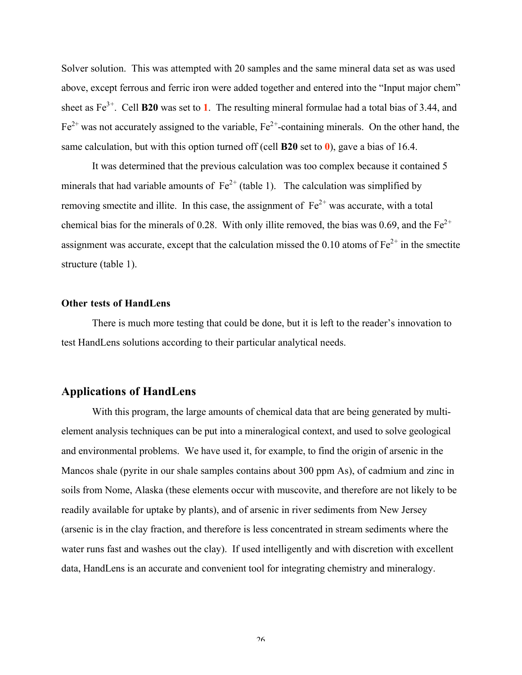Solver solution. This was attempted with 20 samples and the same mineral data set as was used above, except ferrous and ferric iron were added together and entered into the "Input major chem" sheet as  $Fe^{3+}$ . Cell **B20** was set to 1. The resulting mineral formulae had a total bias of 3.44, and  $Fe<sup>2+</sup>$  was not accurately assigned to the variable,  $Fe<sup>2+</sup>$ -containing minerals. On the other hand, the same calculation, but with this option turned off (cell **B20** set to  $\theta$ ), gave a bias of 16.4.

It was determined that the previous calculation was too complex because it contained 5 minerals that had variable amounts of  $Fe^{2+}$  (table 1). The calculation was simplified by removing smectite and illite. In this case, the assignment of  $Fe^{2+}$  was accurate, with a total chemical bias for the minerals of 0.28. With only illite removed, the bias was 0.69, and the  $Fe^{2+}$ assignment was accurate, except that the calculation missed the 0.10 atoms of  $Fe<sup>2+</sup>$  in the smectite structure (table 1).

#### Other tests of HandLens

There is much more testing that could be done, but it is left to the reader's innovation to test HandLens solutions according to their particular analytical needs.

### Applications of HandLens

With this program, the large amounts of chemical data that are being generated by multielement analysis techniques can be put into a mineralogical context, and used to solve geological and environmental problems. We have used it, for example, to find the origin of arsenic in the Mancos shale (pyrite in our shale samples contains about 300 ppm As), of cadmium and zinc in soils from Nome, Alaska (these elements occur with muscovite, and therefore are not likely to be readily available for uptake by plants), and of arsenic in river sediments from New Jersey (arsenic is in the clay fraction, and therefore is less concentrated in stream sediments where the water runs fast and washes out the clay). If used intelligently and with discretion with excellent data, HandLens is an accurate and convenient tool for integrating chemistry and mineralogy.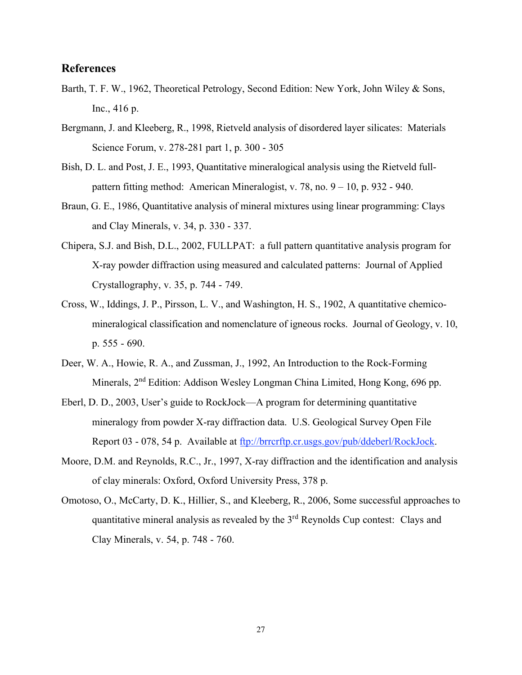## References

- Barth, T. F. W., 1962, Theoretical Petrology, Second Edition: New York, John Wiley & Sons, Inc., 416 p.
- Bergmann, J. and Kleeberg, R., 1998, Rietveld analysis of disordered layer silicates: Materials Science Forum, v. 278-281 part 1, p. 300 - 305
- Bish, D. L. and Post, J. E., 1993, Quantitative mineralogical analysis using the Rietveld fullpattern fitting method: American Mineralogist, v. 78, no. 9 – 10, p. 932 - 940.
- Braun, G. E., 1986, Quantitative analysis of mineral mixtures using linear programming: Clays and Clay Minerals, v. 34, p. 330 - 337.
- Chipera, S.J. and Bish, D.L., 2002, FULLPAT: a full pattern quantitative analysis program for X-ray powder diffraction using measured and calculated patterns: Journal of Applied Crystallography, v. 35, p. 744 - 749.
- Cross, W., Iddings, J. P., Pirsson, L. V., and Washington, H. S., 1902, A quantitative chemicomineralogical classification and nomenclature of igneous rocks. Journal of Geology, v. 10, p. 555 - 690.
- Deer, W. A., Howie, R. A., and Zussman, J., 1992, An Introduction to the Rock-Forming Minerals, 2<sup>nd</sup> Edition: Addison Wesley Longman China Limited, Hong Kong, 696 pp.
- Eberl, D. D., 2003, User's guide to RockJock—A program for determining quantitative mineralogy from powder X-ray diffraction data. U.S. Geological Survey Open File Report 03 - 078, 54 p. Available at ftp://brrcrftp.cr.usgs.gov/pub/ddeberl/RockJock.
- Moore, D.M. and Reynolds, R.C., Jr., 1997, X-ray diffraction and the identification and analysis of clay minerals: Oxford, Oxford University Press, 378 p.
- Omotoso, O., McCarty, D. K., Hillier, S., and Kleeberg, R., 2006, Some successful approaches to quantitative mineral analysis as revealed by the  $3<sup>rd</sup>$  Reynolds Cup contest: Clays and Clay Minerals, v. 54, p. 748 - 760.